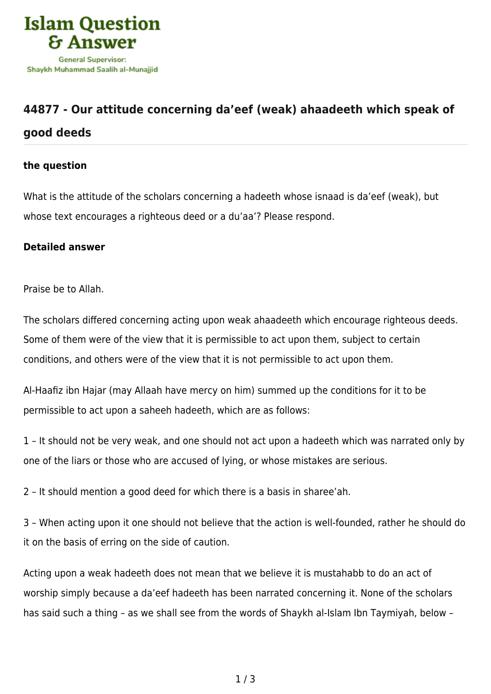

## **[44877 - Our attitude concerning da'eef \(weak\) ahaadeeth which speak of](https://islamqa.com/en/answers/44877/our-attitude-concerning-daeef-weak-ahaadeeth-which-speak-of-good-deeds) [good deeds](https://islamqa.com/en/answers/44877/our-attitude-concerning-daeef-weak-ahaadeeth-which-speak-of-good-deeds)**

## **the question**

What is the attitude of the scholars concerning a hadeeth whose isnaad is da'eef (weak), but whose text encourages a righteous deed or a du'aa'? Please respond.

## **Detailed answer**

Praise be to Allah.

The scholars differed concerning acting upon weak ahaadeeth which encourage righteous deeds. Some of them were of the view that it is permissible to act upon them, subject to certain conditions, and others were of the view that it is not permissible to act upon them.

Al-Haafiz ibn Hajar (may Allaah have mercy on him) summed up the conditions for it to be permissible to act upon a saheeh hadeeth, which are as follows:

1 – It should not be very weak, and one should not act upon a hadeeth which was narrated only by one of the liars or those who are accused of lying, or whose mistakes are serious.

2 – It should mention a good deed for which there is a basis in sharee'ah.

3 – When acting upon it one should not believe that the action is well-founded, rather he should do it on the basis of erring on the side of caution.

Acting upon a weak hadeeth does not mean that we believe it is mustahabb to do an act of worship simply because a da'eef hadeeth has been narrated concerning it. None of the scholars has said such a thing – as we shall see from the words of Shaykh al-Islam Ibn Taymiyah, below –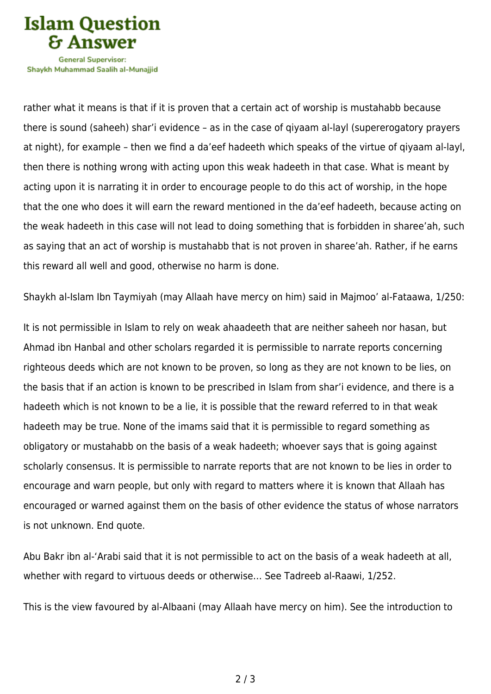

Shavkh Muhammad Saalih al-Munaiiid

rather what it means is that if it is proven that a certain act of worship is mustahabb because there is sound (saheeh) shar'i evidence – as in the case of qiyaam al-layl (supererogatory prayers at night), for example – then we find a da'eef hadeeth which speaks of the virtue of qiyaam al-layl, then there is nothing wrong with acting upon this weak hadeeth in that case. What is meant by acting upon it is narrating it in order to encourage people to do this act of worship, in the hope that the one who does it will earn the reward mentioned in the da'eef hadeeth, because acting on the weak hadeeth in this case will not lead to doing something that is forbidden in sharee'ah, such as saying that an act of worship is mustahabb that is not proven in sharee'ah. Rather, if he earns this reward all well and good, otherwise no harm is done.

Shaykh al-Islam Ibn Taymiyah (may Allaah have mercy on him) said in Majmoo' al-Fataawa, 1/250:

It is not permissible in Islam to rely on weak ahaadeeth that are neither saheeh nor hasan, but Ahmad ibn Hanbal and other scholars regarded it is permissible to narrate reports concerning righteous deeds which are not known to be proven, so long as they are not known to be lies, on the basis that if an action is known to be prescribed in Islam from shar'i evidence, and there is a hadeeth which is not known to be a lie, it is possible that the reward referred to in that weak hadeeth may be true. None of the imams said that it is permissible to regard something as obligatory or mustahabb on the basis of a weak hadeeth; whoever says that is going against scholarly consensus. It is permissible to narrate reports that are not known to be lies in order to encourage and warn people, but only with regard to matters where it is known that Allaah has encouraged or warned against them on the basis of other evidence the status of whose narrators is not unknown. End quote.

Abu Bakr ibn al-'Arabi said that it is not permissible to act on the basis of a weak hadeeth at all, whether with regard to virtuous deeds or otherwise… See Tadreeb al-Raawi, 1/252.

This is the view favoured by al-Albaani (may Allaah have mercy on him). See the introduction to